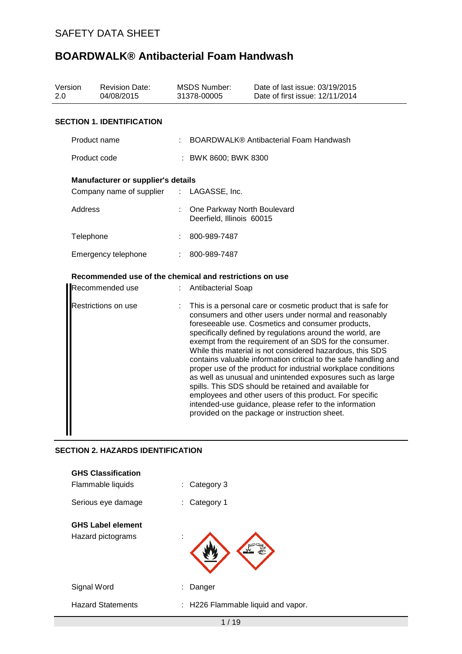| Version<br>2.0  |              | <b>Revision Date:</b><br>04/08/2015                     |                      | <b>MSDS Number:</b><br>31378-00005                         | Date of last issue: 03/19/2015<br>Date of first issue: 12/11/2014                                                                                                                                                                                                                                                                                                                                                                                                                                                                                                                                                                                                                                                                                                                               |  |
|-----------------|--------------|---------------------------------------------------------|----------------------|------------------------------------------------------------|-------------------------------------------------------------------------------------------------------------------------------------------------------------------------------------------------------------------------------------------------------------------------------------------------------------------------------------------------------------------------------------------------------------------------------------------------------------------------------------------------------------------------------------------------------------------------------------------------------------------------------------------------------------------------------------------------------------------------------------------------------------------------------------------------|--|
|                 |              | <b>SECTION 1. IDENTIFICATION</b>                        |                      |                                                            |                                                                                                                                                                                                                                                                                                                                                                                                                                                                                                                                                                                                                                                                                                                                                                                                 |  |
|                 | Product name |                                                         |                      |                                                            | BOARDWALK® Antibacterial Foam Handwash                                                                                                                                                                                                                                                                                                                                                                                                                                                                                                                                                                                                                                                                                                                                                          |  |
| Product code    |              |                                                         | : BWK 8600; BWK 8300 |                                                            |                                                                                                                                                                                                                                                                                                                                                                                                                                                                                                                                                                                                                                                                                                                                                                                                 |  |
|                 |              | <b>Manufacturer or supplier's details</b>               |                      |                                                            |                                                                                                                                                                                                                                                                                                                                                                                                                                                                                                                                                                                                                                                                                                                                                                                                 |  |
|                 |              | Company name of supplier : LAGASSE, Inc.                |                      |                                                            |                                                                                                                                                                                                                                                                                                                                                                                                                                                                                                                                                                                                                                                                                                                                                                                                 |  |
|                 | Address      |                                                         |                      | : One Parkway North Boulevard<br>Deerfield, Illinois 60015 |                                                                                                                                                                                                                                                                                                                                                                                                                                                                                                                                                                                                                                                                                                                                                                                                 |  |
|                 | Telephone    |                                                         |                      | 800-989-7487                                               |                                                                                                                                                                                                                                                                                                                                                                                                                                                                                                                                                                                                                                                                                                                                                                                                 |  |
|                 |              | Emergency telephone                                     | ÷.                   | 800-989-7487                                               |                                                                                                                                                                                                                                                                                                                                                                                                                                                                                                                                                                                                                                                                                                                                                                                                 |  |
|                 |              | Recommended use of the chemical and restrictions on use |                      |                                                            |                                                                                                                                                                                                                                                                                                                                                                                                                                                                                                                                                                                                                                                                                                                                                                                                 |  |
| Recommended use |              |                                                         |                      | : Antibacterial Soap                                       |                                                                                                                                                                                                                                                                                                                                                                                                                                                                                                                                                                                                                                                                                                                                                                                                 |  |
|                 |              | Restrictions on use                                     |                      |                                                            | This is a personal care or cosmetic product that is safe for<br>consumers and other users under normal and reasonably<br>foreseeable use. Cosmetics and consumer products,<br>specifically defined by regulations around the world, are<br>exempt from the requirement of an SDS for the consumer.<br>While this material is not considered hazardous, this SDS<br>contains valuable information critical to the safe handling and<br>proper use of the product for industrial workplace conditions<br>as well as unusual and unintended exposures such as large<br>spills. This SDS should be retained and available for<br>employees and other users of this product. For specific<br>intended-use guidance, please refer to the information<br>provided on the package or instruction sheet. |  |
|                 |              | <b>SECTION 2. HAZARDS IDENTIFICATION</b>                |                      |                                                            |                                                                                                                                                                                                                                                                                                                                                                                                                                                                                                                                                                                                                                                                                                                                                                                                 |  |
|                 |              | <b>GHS Classification</b>                               |                      |                                                            |                                                                                                                                                                                                                                                                                                                                                                                                                                                                                                                                                                                                                                                                                                                                                                                                 |  |
|                 |              | Flammable liquids                                       |                      | Category 3                                                 |                                                                                                                                                                                                                                                                                                                                                                                                                                                                                                                                                                                                                                                                                                                                                                                                 |  |

| Serious eye damage       | Category 1<br>÷.                   |
|--------------------------|------------------------------------|
| <b>GHS Label element</b> |                                    |
| Hazard pictograms        | ٠                                  |
| Signal Word              | Danger                             |
| <b>Hazard Statements</b> | : H226 Flammable liquid and vapor. |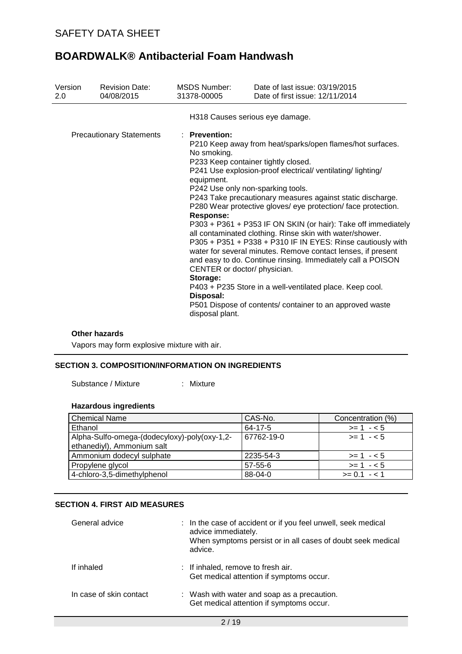| Version<br>2.0 | <b>Revision Date:</b><br>04/08/2015 | <b>MSDS Number:</b><br>31378-00005                                                                                                                                                                                     | Date of last issue: 03/19/2015<br>Date of first issue: 12/11/2014                                                                                                                                                                                                                                                                                                                                                                                                                                                                                                                                                                                                                                        |
|----------------|-------------------------------------|------------------------------------------------------------------------------------------------------------------------------------------------------------------------------------------------------------------------|----------------------------------------------------------------------------------------------------------------------------------------------------------------------------------------------------------------------------------------------------------------------------------------------------------------------------------------------------------------------------------------------------------------------------------------------------------------------------------------------------------------------------------------------------------------------------------------------------------------------------------------------------------------------------------------------------------|
|                |                                     | H318 Causes serious eye damage.                                                                                                                                                                                        |                                                                                                                                                                                                                                                                                                                                                                                                                                                                                                                                                                                                                                                                                                          |
|                | <b>Precautionary Statements</b>     | : Prevention:<br>No smoking.<br>P233 Keep container tightly closed.<br>equipment.<br>P242 Use only non-sparking tools.<br><b>Response:</b><br>CENTER or doctor/ physician.<br>Storage:<br>Disposal:<br>disposal plant. | P210 Keep away from heat/sparks/open flames/hot surfaces.<br>P241 Use explosion-proof electrical/ventilating/lighting/<br>P243 Take precautionary measures against static discharge.<br>P280 Wear protective gloves/ eye protection/ face protection.<br>P303 + P361 + P353 IF ON SKIN (or hair): Take off immediately<br>all contaminated clothing. Rinse skin with water/shower.<br>P305 + P351 + P338 + P310 IF IN EYES: Rinse cautiously with<br>water for several minutes. Remove contact lenses, if present<br>and easy to do. Continue rinsing. Immediately call a POISON<br>P403 + P235 Store in a well-ventilated place. Keep cool.<br>P501 Dispose of contents/ container to an approved waste |

#### **Other hazards**

Vapors may form explosive mixture with air.

### **SECTION 3. COMPOSITION/INFORMATION ON INGREDIENTS**

Substance / Mixture : Mixture

# **Hazardous ingredients**

| <b>Chemical Name</b>                                                       | CAS-No.       | Concentration (%) |
|----------------------------------------------------------------------------|---------------|-------------------|
| Ethanol                                                                    | 64-17-5       | $>= 1 - 5$        |
| Alpha-Sulfo-omega-(dodecyloxy)-poly(oxy-1,2-<br>ethanediyl), Ammonium salt | 67762-19-0    | $>= 1 - 5$        |
| Ammonium dodecyl sulphate                                                  | 2235-54-3     | $>= 1 - 5$        |
| Propylene glycol                                                           | $57 - 55 - 6$ | $>= 1 - 5$        |
| 4-chloro-3,5-dimethylphenol                                                | 88-04-0       | $>= 0.1 - 1.1$    |

### **SECTION 4. FIRST AID MEASURES**

| General advice          |  | : In the case of accident or if you feel unwell, seek medical<br>advice immediately.<br>When symptoms persist or in all cases of doubt seek medical<br>advice. |
|-------------------------|--|----------------------------------------------------------------------------------------------------------------------------------------------------------------|
| If inhaled              |  | : If inhaled, remove to fresh air.<br>Get medical attention if symptoms occur.                                                                                 |
| In case of skin contact |  | : Wash with water and soap as a precaution.<br>Get medical attention if symptoms occur.                                                                        |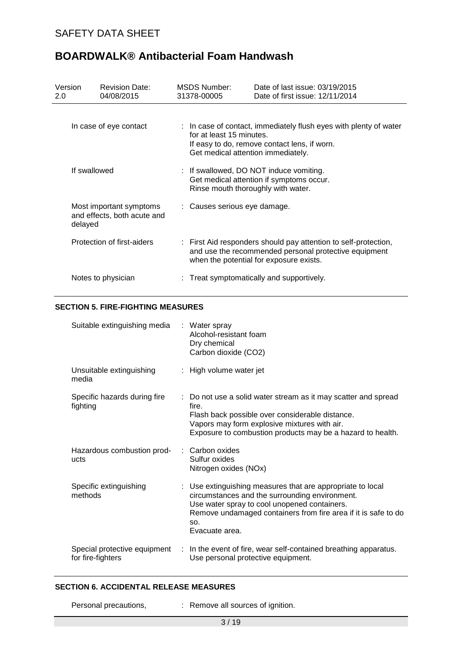# SAFETY DATA SHEET

| Version<br>2.0 | <b>Revision Date:</b><br>04/08/2015                    | MSDS Number:<br>31378-00005                                    | Date of last issue: 03/19/2015<br>Date of first issue: 12/11/2014                                                                                                   |
|----------------|--------------------------------------------------------|----------------------------------------------------------------|---------------------------------------------------------------------------------------------------------------------------------------------------------------------|
|                | In case of eye contact                                 | for at least 15 minutes.<br>Get medical attention immediately. | : In case of contact, immediately flush eyes with plenty of water<br>If easy to do, remove contact lens, if worn.                                                   |
| If swallowed   |                                                        | Rinse mouth thoroughly with water.                             | : If swallowed, DO NOT induce vomiting.<br>Get medical attention if symptoms occur.                                                                                 |
| delayed        | Most important symptoms<br>and effects, both acute and | : Causes serious eye damage.                                   |                                                                                                                                                                     |
|                | Protection of first-aiders                             |                                                                | : First Aid responders should pay attention to self-protection,<br>and use the recommended personal protective equipment<br>when the potential for exposure exists. |
|                | Notes to physician                                     |                                                                | Treat symptomatically and supportively.                                                                                                                             |

# **BOARDWALK® Antibacterial Foam Handwash**

### **SECTION 5. FIRE-FIGHTING MEASURES**

| Suitable extinguishing media                      | : Water spray<br>Alcohol-resistant foam<br>Dry chemical<br>Carbon dioxide (CO2)                                                                                                                                                                         |
|---------------------------------------------------|---------------------------------------------------------------------------------------------------------------------------------------------------------------------------------------------------------------------------------------------------------|
| Unsuitable extinguishing<br>media                 | : High volume water jet                                                                                                                                                                                                                                 |
| Specific hazards during fire<br>fighting          | : Do not use a solid water stream as it may scatter and spread<br>fire.<br>Flash back possible over considerable distance.<br>Vapors may form explosive mixtures with air.<br>Exposure to combustion products may be a hazard to health.                |
| Hazardous combustion prod-<br>ucts                | : Carbon oxides<br>Sulfur oxides<br>Nitrogen oxides (NOx)                                                                                                                                                                                               |
| Specific extinguishing<br>methods                 | : Use extinguishing measures that are appropriate to local<br>circumstances and the surrounding environment.<br>Use water spray to cool unopened containers.<br>Remove undamaged containers from fire area if it is safe to do<br>SO.<br>Evacuate area. |
| Special protective equipment<br>for fire-fighters | : In the event of fire, wear self-contained breathing apparatus.<br>Use personal protective equipment.                                                                                                                                                  |

### **SECTION 6. ACCIDENTAL RELEASE MEASURES**

Personal precautions,  $\qquad \qquad : \qquad \text{Remove all sources of }$  ignition.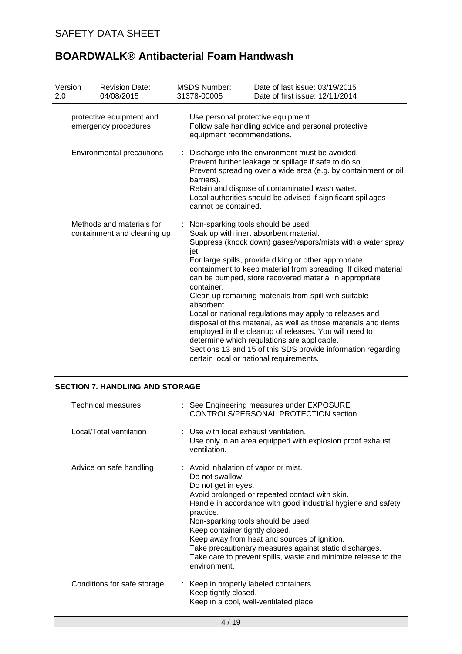| Version<br>2.0                                   | <b>Revision Date:</b><br>04/08/2015                      | <b>MSDS Number:</b><br>31378-00005                                                                                      | Date of last issue: 03/19/2015<br>Date of first issue: 12/11/2014                                                                                                                                                                                                                                                                                                                                                                                                                                                                                                                                                                                                                                    |  |  |
|--------------------------------------------------|----------------------------------------------------------|-------------------------------------------------------------------------------------------------------------------------|------------------------------------------------------------------------------------------------------------------------------------------------------------------------------------------------------------------------------------------------------------------------------------------------------------------------------------------------------------------------------------------------------------------------------------------------------------------------------------------------------------------------------------------------------------------------------------------------------------------------------------------------------------------------------------------------------|--|--|
| protective equipment and<br>emergency procedures |                                                          | Use personal protective equipment.<br>Follow safe handling advice and personal protective<br>equipment recommendations. |                                                                                                                                                                                                                                                                                                                                                                                                                                                                                                                                                                                                                                                                                                      |  |  |
|                                                  | <b>Environmental precautions</b>                         | barriers).<br>cannot be contained.                                                                                      | Discharge into the environment must be avoided.<br>Prevent further leakage or spillage if safe to do so.<br>Prevent spreading over a wide area (e.g. by containment or oil<br>Retain and dispose of contaminated wash water.<br>Local authorities should be advised if significant spillages                                                                                                                                                                                                                                                                                                                                                                                                         |  |  |
|                                                  | Methods and materials for<br>containment and cleaning up | Non-sparking tools should be used.<br>jet.<br>container.<br>absorbent.                                                  | Soak up with inert absorbent material.<br>Suppress (knock down) gases/vapors/mists with a water spray<br>For large spills, provide diking or other appropriate<br>containment to keep material from spreading. If diked material<br>can be pumped, store recovered material in appropriate<br>Clean up remaining materials from spill with suitable<br>Local or national regulations may apply to releases and<br>disposal of this material, as well as those materials and items<br>employed in the cleanup of releases. You will need to<br>determine which regulations are applicable.<br>Sections 13 and 15 of this SDS provide information regarding<br>certain local or national requirements. |  |  |

## **SECTION 7. HANDLING AND STORAGE**

| <b>Technical measures</b>   | : See Engineering measures under EXPOSURE<br>CONTROLS/PERSONAL PROTECTION section.                                                                                                                                                                                                                                                                                                                                                                                                |
|-----------------------------|-----------------------------------------------------------------------------------------------------------------------------------------------------------------------------------------------------------------------------------------------------------------------------------------------------------------------------------------------------------------------------------------------------------------------------------------------------------------------------------|
| Local/Total ventilation     | : Use with local exhaust ventilation.<br>Use only in an area equipped with explosion proof exhaust<br>ventilation.                                                                                                                                                                                                                                                                                                                                                                |
| Advice on safe handling     | : Avoid inhalation of vapor or mist.<br>Do not swallow.<br>Do not get in eyes.<br>Avoid prolonged or repeated contact with skin.<br>Handle in accordance with good industrial hygiene and safety<br>practice.<br>Non-sparking tools should be used.<br>Keep container tightly closed.<br>Keep away from heat and sources of ignition.<br>Take precautionary measures against static discharges.<br>Take care to prevent spills, waste and minimize release to the<br>environment. |
| Conditions for safe storage | : Keep in properly labeled containers.<br>Keep tightly closed.<br>Keep in a cool, well-ventilated place.                                                                                                                                                                                                                                                                                                                                                                          |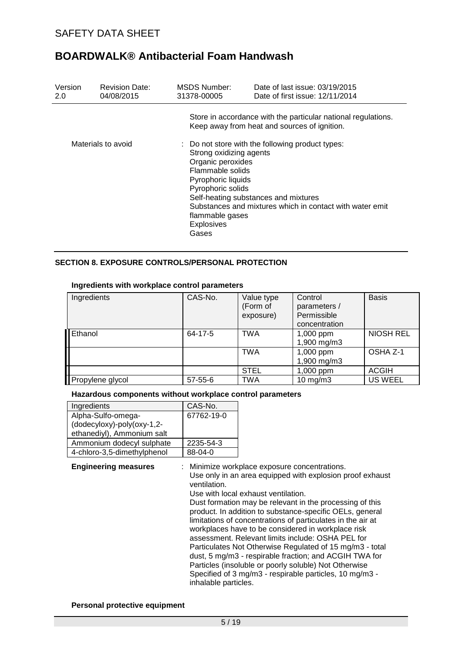| Version<br>2.0     | <b>Revision Date:</b><br>04/08/2015 | MSDS Number:<br>31378-00005                                                                                                                                  | Date of last issue: 03/19/2015<br>Date of first issue: 12/11/2014                                                                                    |
|--------------------|-------------------------------------|--------------------------------------------------------------------------------------------------------------------------------------------------------------|------------------------------------------------------------------------------------------------------------------------------------------------------|
|                    |                                     |                                                                                                                                                              | Store in accordance with the particular national regulations.<br>Keep away from heat and sources of ignition.                                        |
| Materials to avoid |                                     | Strong oxidizing agents<br>Organic peroxides<br>Flammable solids<br>Pyrophoric liquids<br>Pyrophoric solids<br>flammable gases<br><b>Explosives</b><br>Gases | : Do not store with the following product types:<br>Self-heating substances and mixtures<br>Substances and mixtures which in contact with water emit |

### **SECTION 8. EXPOSURE CONTROLS/PERSONAL PROTECTION**

#### **Ingredients with workplace control parameters**

| Ingredients      | CAS-No.       | Value type<br>(Form of<br>exposure) | Control<br>parameters /<br>Permissible<br>concentration | <b>Basis</b>     |
|------------------|---------------|-------------------------------------|---------------------------------------------------------|------------------|
| <b>I</b> Ethanol | 64-17-5       | <b>TWA</b>                          | 1,000 ppm<br>1,900 mg/m3                                | <b>NIOSH REL</b> |
|                  |               | <b>TWA</b>                          | 1,000 ppm<br>1,900 mg/m3                                | OSHA Z-1         |
|                  |               | <b>STEL</b>                         | 1,000 ppm                                               | <b>ACGIH</b>     |
| Propylene glycol | $57 - 55 - 6$ | TWA                                 | $10$ mg/m $3$                                           | <b>US WEEL</b>   |

### **Hazardous components without workplace control parameters**

| Ingredients                 | CAS-No.    |
|-----------------------------|------------|
| Alpha-Sulfo-omega-          | 67762-19-0 |
| (dodecyloxy)-poly(oxy-1,2-  |            |
| ethanediyl), Ammonium salt  |            |
| Ammonium dodecyl sulphate   | 2235-54-3  |
| 4-chloro-3,5-dimethylphenol | 88-04-0    |

#### **Engineering measures** : Minimize workplace exposure concentrations.

Use only in an area equipped with explosion proof exhaust ventilation.

Use with local exhaust ventilation.

Dust formation may be relevant in the processing of this product. In addition to substance-specific OELs, general limitations of concentrations of particulates in the air at workplaces have to be considered in workplace risk assessment. Relevant limits include: OSHA PEL for Particulates Not Otherwise Regulated of 15 mg/m3 - total dust, 5 mg/m3 - respirable fraction; and ACGIH TWA for Particles (insoluble or poorly soluble) Not Otherwise Specified of 3 mg/m3 - respirable particles, 10 mg/m3 inhalable particles.

### **Personal protective equipment**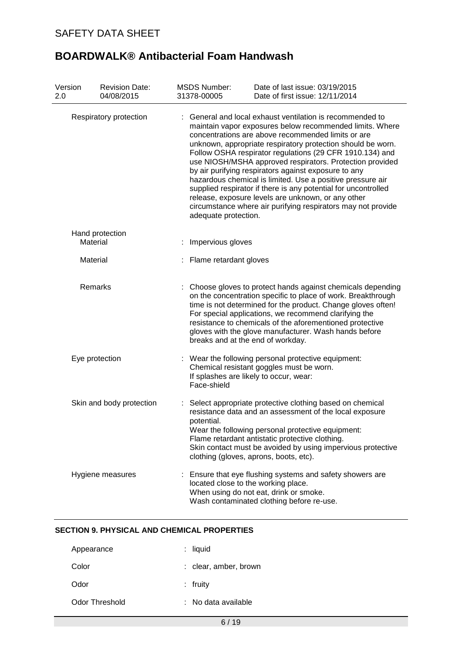| Version<br>2.0         | <b>Revision Date:</b><br>04/08/2015 | <b>MSDS Number:</b><br>31378-00005                                                                                                                                                                                                                                                                                                                                                                                                                                                                                                                                                                                                                                                                     | Date of last issue: 03/19/2015<br>Date of first issue: 12/11/2014                                                                                                                                                                                                                                                                                                                                             |  |  |
|------------------------|-------------------------------------|--------------------------------------------------------------------------------------------------------------------------------------------------------------------------------------------------------------------------------------------------------------------------------------------------------------------------------------------------------------------------------------------------------------------------------------------------------------------------------------------------------------------------------------------------------------------------------------------------------------------------------------------------------------------------------------------------------|---------------------------------------------------------------------------------------------------------------------------------------------------------------------------------------------------------------------------------------------------------------------------------------------------------------------------------------------------------------------------------------------------------------|--|--|
| Respiratory protection |                                     | General and local exhaust ventilation is recommended to<br>maintain vapor exposures below recommended limits. Where<br>concentrations are above recommended limits or are<br>unknown, appropriate respiratory protection should be worn.<br>Follow OSHA respirator regulations (29 CFR 1910.134) and<br>use NIOSH/MSHA approved respirators. Protection provided<br>by air purifying respirators against exposure to any<br>hazardous chemical is limited. Use a positive pressure air<br>supplied respirator if there is any potential for uncontrolled<br>release, exposure levels are unknown, or any other<br>circumstance where air purifying respirators may not provide<br>adequate protection. |                                                                                                                                                                                                                                                                                                                                                                                                               |  |  |
|                        | Hand protection<br>Material         | Impervious gloves                                                                                                                                                                                                                                                                                                                                                                                                                                                                                                                                                                                                                                                                                      |                                                                                                                                                                                                                                                                                                                                                                                                               |  |  |
|                        | Material                            | : Flame retardant gloves                                                                                                                                                                                                                                                                                                                                                                                                                                                                                                                                                                                                                                                                               |                                                                                                                                                                                                                                                                                                                                                                                                               |  |  |
| Remarks                |                                     |                                                                                                                                                                                                                                                                                                                                                                                                                                                                                                                                                                                                                                                                                                        | Choose gloves to protect hands against chemicals depending<br>on the concentration specific to place of work. Breakthrough<br>time is not determined for the product. Change gloves often!<br>For special applications, we recommend clarifying the<br>resistance to chemicals of the aforementioned protective<br>gloves with the glove manufacturer. Wash hands before<br>breaks and at the end of workday. |  |  |
|                        | Eye protection                      | Face-shield                                                                                                                                                                                                                                                                                                                                                                                                                                                                                                                                                                                                                                                                                            | : Wear the following personal protective equipment:<br>Chemical resistant goggles must be worn.<br>If splashes are likely to occur, wear:                                                                                                                                                                                                                                                                     |  |  |
|                        | Skin and body protection            | potential.                                                                                                                                                                                                                                                                                                                                                                                                                                                                                                                                                                                                                                                                                             | Select appropriate protective clothing based on chemical<br>resistance data and an assessment of the local exposure<br>Wear the following personal protective equipment:<br>Flame retardant antistatic protective clothing.<br>Skin contact must be avoided by using impervious protective<br>clothing (gloves, aprons, boots, etc).                                                                          |  |  |
|                        | Hygiene measures                    |                                                                                                                                                                                                                                                                                                                                                                                                                                                                                                                                                                                                                                                                                                        | : Ensure that eye flushing systems and safety showers are<br>located close to the working place.<br>When using do not eat, drink or smoke.<br>Wash contaminated clothing before re-use.                                                                                                                                                                                                                       |  |  |

## **SECTION 9. PHYSICAL AND CHEMICAL PROPERTIES**

| Appearance     | $:$ liquid            |
|----------------|-----------------------|
| Color          | : clear, amber, brown |
| Odor           | $:$ fruity            |
| Odor Threshold | $:$ No data available |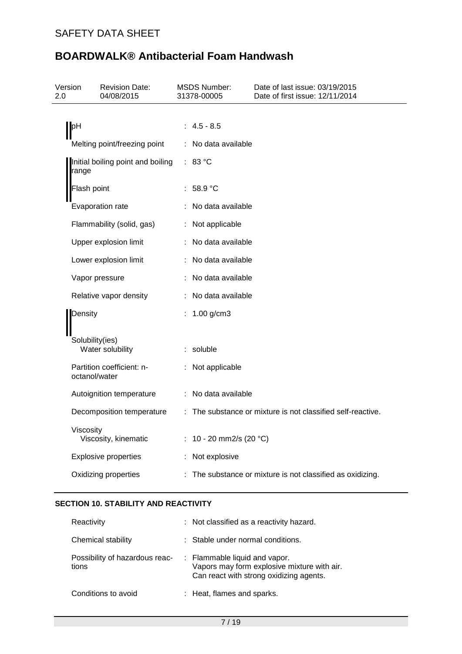| Version<br>2.0                             | <b>Revision Date:</b><br>04/08/2015        | <b>MSDS Number:</b><br>31378-00005 | Date of last issue: 03/19/2015<br>Date of first issue: 12/11/2014 |  |
|--------------------------------------------|--------------------------------------------|------------------------------------|-------------------------------------------------------------------|--|
|                                            |                                            |                                    |                                                                   |  |
|                                            | pH                                         | $4.5 - 8.5$                        |                                                                   |  |
|                                            | Melting point/freezing point               | No data available                  |                                                                   |  |
| Initial boiling point and boiling<br>range |                                            | : 83 °C                            |                                                                   |  |
|                                            | Flash point                                | 58.9 °C                            |                                                                   |  |
|                                            | Evaporation rate                           | No data available                  |                                                                   |  |
|                                            | Flammability (solid, gas)                  | : Not applicable                   |                                                                   |  |
|                                            | Upper explosion limit                      | No data available                  |                                                                   |  |
|                                            | Lower explosion limit                      | No data available                  |                                                                   |  |
|                                            | Vapor pressure                             | No data available                  |                                                                   |  |
| Relative vapor density                     |                                            | : No data available                |                                                                   |  |
| Density                                    |                                            | $1.00$ g/cm3                       |                                                                   |  |
|                                            |                                            |                                    |                                                                   |  |
|                                            | Solubility(ies)<br>Water solubility        | : soluble                          |                                                                   |  |
|                                            | Partition coefficient: n-<br>octanol/water | : Not applicable                   |                                                                   |  |
|                                            | Autoignition temperature                   | : No data available                |                                                                   |  |
|                                            | Decomposition temperature                  |                                    | The substance or mixture is not classified self-reactive.         |  |
|                                            | Viscosity<br>Viscosity, kinematic          | : 10 - 20 mm2/s (20 $^{\circ}$ C)  |                                                                   |  |
|                                            | <b>Explosive properties</b>                | Not explosive                      |                                                                   |  |
|                                            | Oxidizing properties                       |                                    | The substance or mixture is not classified as oxidizing.          |  |
|                                            |                                            |                                    |                                                                   |  |

# **SECTION 10. STABILITY AND REACTIVITY**

| Reactivity                              | : Not classified as a reactivity hazard.                                                                                |
|-----------------------------------------|-------------------------------------------------------------------------------------------------------------------------|
| Chemical stability                      | : Stable under normal conditions.                                                                                       |
| Possibility of hazardous reac-<br>tions | : Flammable liquid and vapor.<br>Vapors may form explosive mixture with air.<br>Can react with strong oxidizing agents. |
| Conditions to avoid                     | : Heat, flames and sparks.                                                                                              |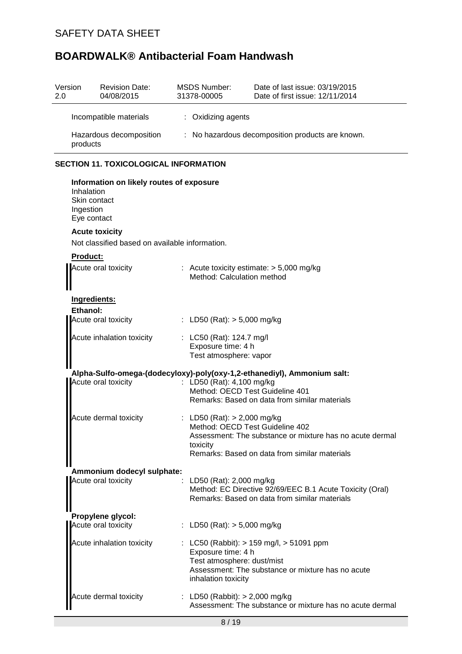| Version<br>2.0                      | <b>Revision Date:</b><br>04/08/2015          | MSDS Number:<br>31378-00005                      | Date of last issue: 03/19/2015<br>Date of first issue: 12/11/2014 |  |  |
|-------------------------------------|----------------------------------------------|--------------------------------------------------|-------------------------------------------------------------------|--|--|
|                                     | : Oxidizing agents<br>Incompatible materials |                                                  |                                                                   |  |  |
| Hazardous decomposition<br>products |                                              | : No hazardous decomposition products are known. |                                                                   |  |  |
|                                     |                                              |                                                  |                                                                   |  |  |

# **SECTION 11. TOXICOLOGICAL INFORMATION**

| Information on likely routes of exposure<br>Inhalation<br>Skin contact<br>Ingestion<br>Eye contact |  |                                                                                                                                                                                           |  |  |
|----------------------------------------------------------------------------------------------------|--|-------------------------------------------------------------------------------------------------------------------------------------------------------------------------------------------|--|--|
| <b>Acute toxicity</b><br>Not classified based on available information.                            |  |                                                                                                                                                                                           |  |  |
| Product:                                                                                           |  |                                                                                                                                                                                           |  |  |
| Acute oral toxicity                                                                                |  | : Acute toxicity estimate: $> 5,000$ mg/kg<br>Method: Calculation method                                                                                                                  |  |  |
| Ingredients:                                                                                       |  |                                                                                                                                                                                           |  |  |
| Ethanol:<br>Acute oral toxicity                                                                    |  | : LD50 (Rat): $> 5,000$ mg/kg                                                                                                                                                             |  |  |
| Acute inhalation toxicity                                                                          |  | : LC50 (Rat): 124.7 mg/l<br>Exposure time: 4 h<br>Test atmosphere: vapor                                                                                                                  |  |  |
| Acute oral toxicity                                                                                |  | Alpha-Sulfo-omega-(dodecyloxy)-poly(oxy-1,2-ethanediyl), Ammonium salt:<br>: LD50 (Rat): 4,100 mg/kg<br>Method: OECD Test Guideline 401<br>Remarks: Based on data from similar materials  |  |  |
| Acute dermal toxicity                                                                              |  | : LD50 (Rat): $> 2,000$ mg/kg<br>Method: OECD Test Guideline 402<br>Assessment: The substance or mixture has no acute dermal<br>toxicity<br>Remarks: Based on data from similar materials |  |  |
| Ammonium dodecyl sulphate:                                                                         |  |                                                                                                                                                                                           |  |  |
| Acute oral toxicity                                                                                |  | : LD50 (Rat): 2,000 mg/kg<br>Method: EC Directive 92/69/EEC B.1 Acute Toxicity (Oral)<br>Remarks: Based on data from similar materials                                                    |  |  |
| Propylene glycol:                                                                                  |  |                                                                                                                                                                                           |  |  |
| Acute oral toxicity                                                                                |  | : LD50 (Rat): $>$ 5,000 mg/kg                                                                                                                                                             |  |  |
| Acute inhalation toxicity                                                                          |  | LC50 (Rabbit): > 159 mg/l, > 51091 ppm<br>Exposure time: 4 h<br>Test atmosphere: dust/mist<br>Assessment: The substance or mixture has no acute<br>inhalation toxicity                    |  |  |
| <b>Acute dermal toxicity</b>                                                                       |  | LD50 (Rabbit): > 2,000 mg/kg<br>Assessment: The substance or mixture has no acute dermal                                                                                                  |  |  |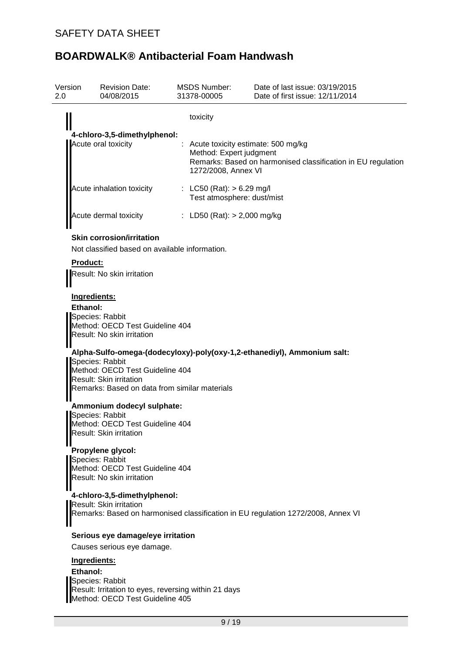| Version<br>2.0      | <b>Revision Date:</b><br>04/08/2015                                                                                                                                                                                                                                                                                                                                                                                                                               | <b>MSDS Number:</b><br>31378-00005                        | Date of last issue: 03/19/2015<br>Date of first issue: 12/11/2014                |  |  |  |
|---------------------|-------------------------------------------------------------------------------------------------------------------------------------------------------------------------------------------------------------------------------------------------------------------------------------------------------------------------------------------------------------------------------------------------------------------------------------------------------------------|-----------------------------------------------------------|----------------------------------------------------------------------------------|--|--|--|
|                     |                                                                                                                                                                                                                                                                                                                                                                                                                                                                   | toxicity                                                  |                                                                                  |  |  |  |
|                     | 4-chloro-3,5-dimethylphenol:                                                                                                                                                                                                                                                                                                                                                                                                                                      |                                                           |                                                                                  |  |  |  |
| Acute oral toxicity | Acute toxicity estimate: 500 mg/kg<br>Method: Expert judgment<br>Remarks: Based on harmonised classification in EU regulation                                                                                                                                                                                                                                                                                                                                     |                                                           |                                                                                  |  |  |  |
|                     |                                                                                                                                                                                                                                                                                                                                                                                                                                                                   | 1272/2008, Annex VI                                       |                                                                                  |  |  |  |
|                     | Acute inhalation toxicity                                                                                                                                                                                                                                                                                                                                                                                                                                         | : LC50 (Rat): $> 6.29$ mg/l<br>Test atmosphere: dust/mist |                                                                                  |  |  |  |
|                     | Acute dermal toxicity                                                                                                                                                                                                                                                                                                                                                                                                                                             | : LD50 (Rat): $> 2,000$ mg/kg                             |                                                                                  |  |  |  |
|                     | <b>Skin corrosion/irritation</b>                                                                                                                                                                                                                                                                                                                                                                                                                                  |                                                           |                                                                                  |  |  |  |
|                     | Not classified based on available information.                                                                                                                                                                                                                                                                                                                                                                                                                    |                                                           |                                                                                  |  |  |  |
| <b>Product:</b>     | Result: No skin irritation                                                                                                                                                                                                                                                                                                                                                                                                                                        |                                                           |                                                                                  |  |  |  |
| Ethanol:            | Ingredients:<br>Species: Rabbit<br>Method: OECD Test Guideline 404<br>Result: No skin irritation<br>Species: Rabbit<br>Method: OECD Test Guideline 404<br><b>Result: Skin irritation</b><br>Remarks: Based on data from similar materials<br>Ammonium dodecyl sulphate:<br>Species: Rabbit<br>Method: OECD Test Guideline 404<br>Result: Skin irritation<br>Propylene glycol:<br>Species: Rabbit<br>Method: OECD Test Guideline 404<br>Result: No skin irritation |                                                           | Alpha-Sulfo-omega-(dodecyloxy)-poly(oxy-1,2-ethanediyl), Ammonium salt:          |  |  |  |
|                     | 4-chloro-3,5-dimethylphenol:<br><b>Result: Skin irritation</b>                                                                                                                                                                                                                                                                                                                                                                                                    |                                                           | Remarks: Based on harmonised classification in EU regulation 1272/2008, Annex VI |  |  |  |
|                     | Serious eye damage/eye irritation<br>Causes serious eye damage.                                                                                                                                                                                                                                                                                                                                                                                                   |                                                           |                                                                                  |  |  |  |
|                     |                                                                                                                                                                                                                                                                                                                                                                                                                                                                   |                                                           |                                                                                  |  |  |  |
|                     | Ingredients:                                                                                                                                                                                                                                                                                                                                                                                                                                                      |                                                           |                                                                                  |  |  |  |
| Ethanol:            | Species: Rabbit                                                                                                                                                                                                                                                                                                                                                                                                                                                   |                                                           |                                                                                  |  |  |  |
|                     | Result: Irritation to eyes, reversing within 21 days<br>Method: OECD Test Guideline 405                                                                                                                                                                                                                                                                                                                                                                           |                                                           |                                                                                  |  |  |  |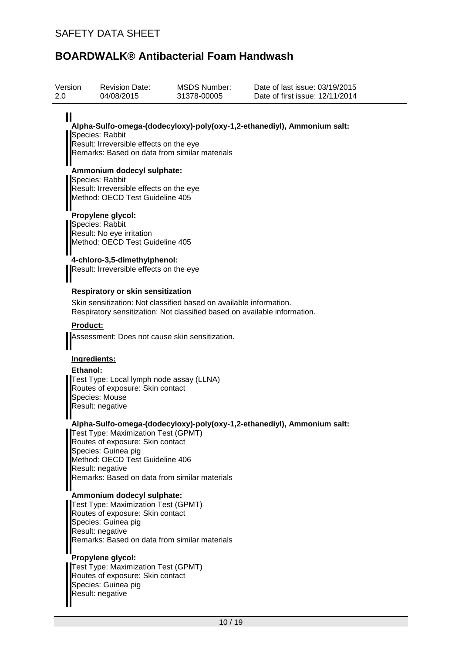Result: negative

| Version<br>2.0           | <b>Revision Date:</b><br>04/08/2015                                                                                                                   | <b>MSDS Number:</b><br>31378-00005                                                                                                              | Date of last issue: 03/19/2015<br>Date of first issue: 12/11/2014       |
|--------------------------|-------------------------------------------------------------------------------------------------------------------------------------------------------|-------------------------------------------------------------------------------------------------------------------------------------------------|-------------------------------------------------------------------------|
| Ш                        | Species: Rabbit<br>Result: Irreversible effects on the eye                                                                                            | Remarks: Based on data from similar materials                                                                                                   | Alpha-Sulfo-omega-(dodecyloxy)-poly(oxy-1,2-ethanediyl), Ammonium salt: |
|                          | Ammonium dodecyl sulphate:<br>Species: Rabbit<br>Result: Irreversible effects on the eye<br>Method: OECD Test Guideline 405                           |                                                                                                                                                 |                                                                         |
|                          | Propylene glycol:<br>Species: Rabbit<br>Result: No eye irritation<br>Method: OECD Test Guideline 405                                                  |                                                                                                                                                 |                                                                         |
|                          | 4-chloro-3,5-dimethylphenol:<br>Result: Irreversible effects on the eye                                                                               |                                                                                                                                                 |                                                                         |
|                          | <b>Respiratory or skin sensitization</b>                                                                                                              | Skin sensitization: Not classified based on available information.<br>Respiratory sensitization: Not classified based on available information. |                                                                         |
| <b>Product:</b>          |                                                                                                                                                       | Assessment: Does not cause skin sensitization.                                                                                                  |                                                                         |
| Ingredients:<br>Ethanol: | Test Type: Local lymph node assay (LLNA)<br>Routes of exposure: Skin contact<br>Species: Mouse<br>Result: negative                                    |                                                                                                                                                 |                                                                         |
|                          | Test Type: Maximization Test (GPMT)<br>Routes of exposure: Skin contact<br>Species: Guinea pig<br>Method: OECD Test Guideline 406<br>Result: negative | Remarks: Based on data from similar materials                                                                                                   | Alpha-Sulfo-omega-(dodecyloxy)-poly(oxy-1,2-ethanediyl), Ammonium salt: |
|                          | Ammonium dodecyl sulphate:<br>Test Type: Maximization Test (GPMT)<br>Routes of exposure: Skin contact<br>Species: Guinea pig<br>Result: negative      | Remarks: Based on data from similar materials                                                                                                   |                                                                         |
|                          | Propylene glycol:<br>Test Type: Maximization Test (GPMT)<br>Routes of exposure: Skin contact<br>Species: Guinea pig                                   |                                                                                                                                                 |                                                                         |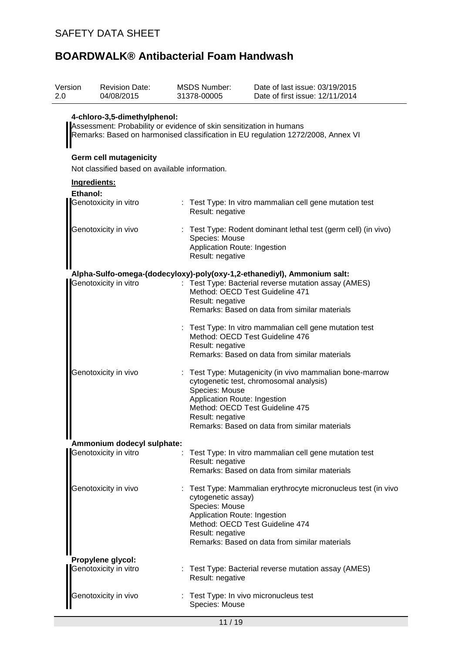| Version<br>2.0 | <b>Revision Date:</b><br>04/08/2015                                                                                                                                                     | <b>MSDS Number:</b><br>31378-00005                                     | Date of last issue: 03/19/2015<br>Date of first issue: 12/11/2014                                      |  |  |
|----------------|-----------------------------------------------------------------------------------------------------------------------------------------------------------------------------------------|------------------------------------------------------------------------|--------------------------------------------------------------------------------------------------------|--|--|
|                | 4-chloro-3,5-dimethylphenol:<br>Assessment: Probability or evidence of skin sensitization in humans<br>Remarks: Based on harmonised classification in EU regulation 1272/2008, Annex VI |                                                                        |                                                                                                        |  |  |
|                | <b>Germ cell mutagenicity</b><br>Not classified based on available information.                                                                                                         |                                                                        |                                                                                                        |  |  |
|                | Ingredients:                                                                                                                                                                            |                                                                        |                                                                                                        |  |  |
| Ethanol:       | Genotoxicity in vitro                                                                                                                                                                   |                                                                        |                                                                                                        |  |  |
|                |                                                                                                                                                                                         | Result: negative                                                       | : Test Type: In vitro mammalian cell gene mutation test                                                |  |  |
|                | Genotoxicity in vivo                                                                                                                                                                    | Species: Mouse<br>Application Route: Ingestion<br>Result: negative     | : Test Type: Rodent dominant lethal test (germ cell) (in vivo)                                         |  |  |
|                |                                                                                                                                                                                         |                                                                        | Alpha-Sulfo-omega-(dodecyloxy)-poly(oxy-1,2-ethanediyl), Ammonium salt:                                |  |  |
|                | Genotoxicity in vitro                                                                                                                                                                   | Result: negative                                                       | : Test Type: Bacterial reverse mutation assay (AMES)<br>Method: OECD Test Guideline 471                |  |  |
|                |                                                                                                                                                                                         |                                                                        | Remarks: Based on data from similar materials                                                          |  |  |
|                |                                                                                                                                                                                         | Result: negative                                                       | Test Type: In vitro mammalian cell gene mutation test<br>Method: OECD Test Guideline 476               |  |  |
|                |                                                                                                                                                                                         |                                                                        | Remarks: Based on data from similar materials                                                          |  |  |
|                | Genotoxicity in vivo                                                                                                                                                                    | Species: Mouse                                                         | : Test Type: Mutagenicity (in vivo mammalian bone-marrow<br>cytogenetic test, chromosomal analysis)    |  |  |
|                |                                                                                                                                                                                         | Application Route: Ingestion                                           | Method: OECD Test Guideline 475                                                                        |  |  |
|                |                                                                                                                                                                                         | Result: negative                                                       | Remarks: Based on data from similar materials                                                          |  |  |
| Ⅱ              | Ammonium dodecyl sulphate:                                                                                                                                                              |                                                                        |                                                                                                        |  |  |
|                | Genotoxicity in vitro                                                                                                                                                                   | Result: negative                                                       | Test Type: In vitro mammalian cell gene mutation test<br>Remarks: Based on data from similar materials |  |  |
|                |                                                                                                                                                                                         |                                                                        |                                                                                                        |  |  |
|                | Genotoxicity in vivo                                                                                                                                                                    | cytogenetic assay)<br>Species: Mouse<br>Application Route: Ingestion   | : Test Type: Mammalian erythrocyte micronucleus test (in vivo                                          |  |  |
|                |                                                                                                                                                                                         | Result: negative                                                       | Method: OECD Test Guideline 474<br>Remarks: Based on data from similar materials                       |  |  |
|                | Propylene glycol:<br>Genotoxicity in vitro                                                                                                                                              | Test Type: Bacterial reverse mutation assay (AMES)<br>Result: negative |                                                                                                        |  |  |
|                | Genotoxicity in vivo                                                                                                                                                                    | Species: Mouse                                                         | Test Type: In vivo micronucleus test                                                                   |  |  |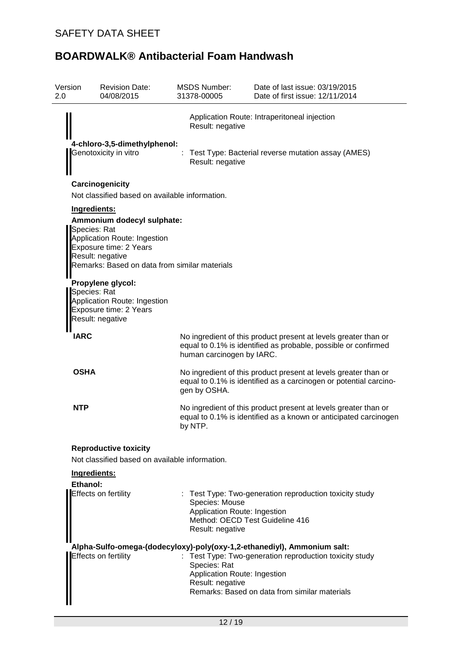| Version<br>2.0 | <b>Revision Date:</b><br>04/08/2015                                                                                                                                       | <b>MSDS Number:</b><br>31378-00005                                 | Date of last issue: 03/19/2015<br>Date of first issue: 12/11/2014                                                                                                                   |
|----------------|---------------------------------------------------------------------------------------------------------------------------------------------------------------------------|--------------------------------------------------------------------|-------------------------------------------------------------------------------------------------------------------------------------------------------------------------------------|
|                |                                                                                                                                                                           | Result: negative                                                   | Application Route: Intraperitoneal injection                                                                                                                                        |
|                | 4-chloro-3,5-dimethylphenol:<br>Genotoxicity in vitro                                                                                                                     | Result: negative                                                   | Test Type: Bacterial reverse mutation assay (AMES)                                                                                                                                  |
|                | Carcinogenicity<br>Not classified based on available information.                                                                                                         |                                                                    |                                                                                                                                                                                     |
|                | Ingredients:                                                                                                                                                              |                                                                    |                                                                                                                                                                                     |
|                | Ammonium dodecyl sulphate:<br>Species: Rat<br>Application Route: Ingestion<br>Exposure time: 2 Years<br>Result: negative<br>Remarks: Based on data from similar materials |                                                                    |                                                                                                                                                                                     |
|                | Propylene glycol:<br>Species: Rat<br>Application Route: Ingestion<br>Exposure time: 2 Years<br>Result: negative                                                           |                                                                    |                                                                                                                                                                                     |
| <b>IARC</b>    |                                                                                                                                                                           | human carcinogen by IARC.                                          | No ingredient of this product present at levels greater than or<br>equal to 0.1% is identified as probable, possible or confirmed                                                   |
| <b>OSHA</b>    |                                                                                                                                                                           | gen by OSHA.                                                       | No ingredient of this product present at levels greater than or<br>equal to 0.1% is identified as a carcinogen or potential carcino-                                                |
| <b>NTP</b>     |                                                                                                                                                                           | by NTP.                                                            | No ingredient of this product present at levels greater than or<br>equal to 0.1% is identified as a known or anticipated carcinogen                                                 |
|                | <b>Reproductive toxicity</b>                                                                                                                                              |                                                                    |                                                                                                                                                                                     |
|                | Not classified based on available information.<br>Ingredients:                                                                                                            |                                                                    |                                                                                                                                                                                     |
|                | Ethanol:                                                                                                                                                                  |                                                                    |                                                                                                                                                                                     |
|                | Effects on fertility                                                                                                                                                      | Species: Mouse<br>Application Route: Ingestion<br>Result: negative | : Test Type: Two-generation reproduction toxicity study<br>Method: OECD Test Guideline 416                                                                                          |
|                | <b>Effects on fertility</b>                                                                                                                                               | Species: Rat<br>Application Route: Ingestion<br>Result: negative   | Alpha-Sulfo-omega-(dodecyloxy)-poly(oxy-1,2-ethanediyl), Ammonium salt:<br>: Test Type: Two-generation reproduction toxicity study<br>Remarks: Based on data from similar materials |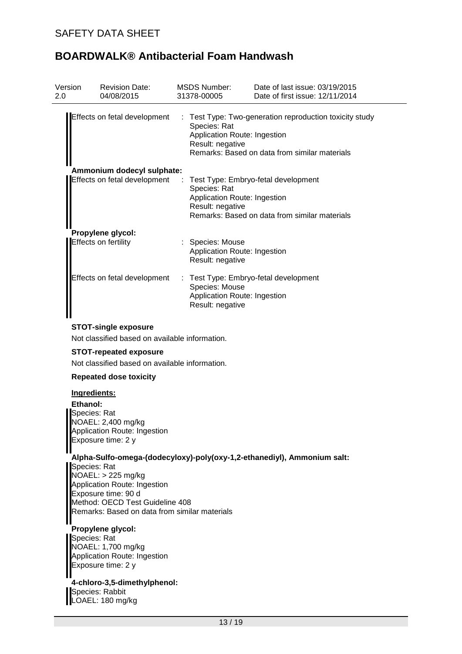| Version<br>2.0 | <b>Revision Date:</b><br>04/08/2015       | MSDS Number:<br>31378-00005                                          | Date of last issue: 03/19/2015<br>Date of first issue: 12/11/2014                                        |
|----------------|-------------------------------------------|----------------------------------------------------------------------|----------------------------------------------------------------------------------------------------------|
|                | Effects on fetal development              | Species: Rat<br>Application Route: Ingestion<br>Result: negative     | : Test Type: Two-generation reproduction toxicity study<br>Remarks: Based on data from similar materials |
|                | Ammonium dodecyl sulphate:                |                                                                      |                                                                                                          |
|                | Effects on fetal development              | Species: Rat<br>Application Route: Ingestion<br>Result: negative     | Test Type: Embryo-fetal development<br>Remarks: Based on data from similar materials                     |
|                | Propylene glycol:<br>Effects on fertility | : Species: Mouse<br>Application Route: Ingestion<br>Result: negative |                                                                                                          |
|                | Effects on fetal development              | Species: Mouse<br>Application Route: Ingestion<br>Result: negative   | : Test Type: Embryo-fetal development                                                                    |

### **STOT-single exposure**

Not classified based on available information.

## **STOT-repeated exposure**

Not classified based on available information.

### **Repeated dose toxicity**

### **Ingredients:**

**Ethanol:** Species: Rat NOAEL: 2,400 mg/kg Application Route: Ingestion Exposure time: 2 y

### **Alpha-Sulfo-omega-(dodecyloxy)-poly(oxy-1,2-ethanediyl), Ammonium salt:**

Species: Rat NOAEL: > 225 mg/kg Application Route: Ingestion Exposure time: 90 d Method: OECD Test Guideline 408 Remarks: Based on data from similar materials

## **Propylene glycol:**

Species: Rat NOAEL: 1,700 mg/kg Application Route: Ingestion Exposure time: 2 y

**4-chloro-3,5-dimethylphenol:** Species: Rabbit LOAEL: 180 mg/kg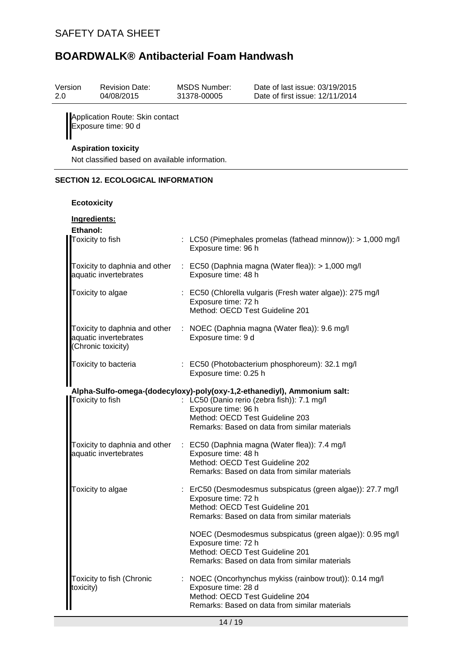| Version                                   | <b>Revision Date:</b> | MSDS Number: | Date of last issue: 03/19/2015  |  |  |
|-------------------------------------------|-----------------------|--------------|---------------------------------|--|--|
| 2.0                                       | 04/08/2015            | 31378-00005  | Date of first issue: 12/11/2014 |  |  |
| <b>Il</b> Annlication Route: Skin contact |                       |              |                                 |  |  |

Application Route: Skin contact Exposure time: 90 d

# **Aspiration toxicity**

Not classified based on available information.

### **SECTION 12. ECOLOGICAL INFORMATION**

### **Ecotoxicity**

| Ingredients:<br>Ethanol:                                                     |                                                                                                                                                                       |
|------------------------------------------------------------------------------|-----------------------------------------------------------------------------------------------------------------------------------------------------------------------|
| Toxicity to fish                                                             | : LC50 (Pimephales promelas (fathead minnow)): > 1,000 mg/l<br>Exposure time: 96 h                                                                                    |
| Toxicity to daphnia and other<br>aquatic invertebrates                       | : EC50 (Daphnia magna (Water flea)): > 1,000 mg/l<br>Exposure time: 48 h                                                                                              |
| Toxicity to algae                                                            | : EC50 (Chlorella vulgaris (Fresh water algae)): 275 mg/l<br>Exposure time: 72 h<br>Method: OECD Test Guideline 201                                                   |
| Toxicity to daphnia and other<br>aquatic invertebrates<br>(Chronic toxicity) | : NOEC (Daphnia magna (Water flea)): 9.6 mg/l<br>Exposure time: 9 d                                                                                                   |
| Toxicity to bacteria                                                         | : EC50 (Photobacterium phosphoreum): 32.1 mg/l<br>Exposure time: 0.25 h                                                                                               |
|                                                                              | Alpha-Sulfo-omega-(dodecyloxy)-poly(oxy-1,2-ethanediyl), Ammonium salt:                                                                                               |
| Toxicity to fish                                                             | : LC50 (Danio rerio (zebra fish)): 7.1 mg/l                                                                                                                           |
|                                                                              | Exposure time: 96 h<br>Method: OECD Test Guideline 203                                                                                                                |
|                                                                              | Remarks: Based on data from similar materials                                                                                                                         |
| Toxicity to daphnia and other                                                | : EC50 (Daphnia magna (Water flea)): 7.4 mg/l                                                                                                                         |
| aquatic invertebrates                                                        | Exposure time: 48 h<br>Method: OECD Test Guideline 202                                                                                                                |
|                                                                              | Remarks: Based on data from similar materials                                                                                                                         |
| Toxicity to algae                                                            | : ErC50 (Desmodesmus subspicatus (green algae)): 27.7 mg/l<br>Exposure time: 72 h<br>Method: OECD Test Guideline 201<br>Remarks: Based on data from similar materials |
|                                                                              |                                                                                                                                                                       |
|                                                                              | NOEC (Desmodesmus subspicatus (green algae)): 0.95 mg/l<br>Exposure time: 72 h                                                                                        |
|                                                                              | Method: OECD Test Guideline 201<br>Remarks: Based on data from similar materials                                                                                      |
| Toxicity to fish (Chronic                                                    | : NOEC (Oncorhynchus mykiss (rainbow trout)): 0.14 mg/l                                                                                                               |
| toxicity)                                                                    | Exposure time: 28 d<br>Method: OECD Test Guideline 204                                                                                                                |
|                                                                              | Remarks: Based on data from similar materials                                                                                                                         |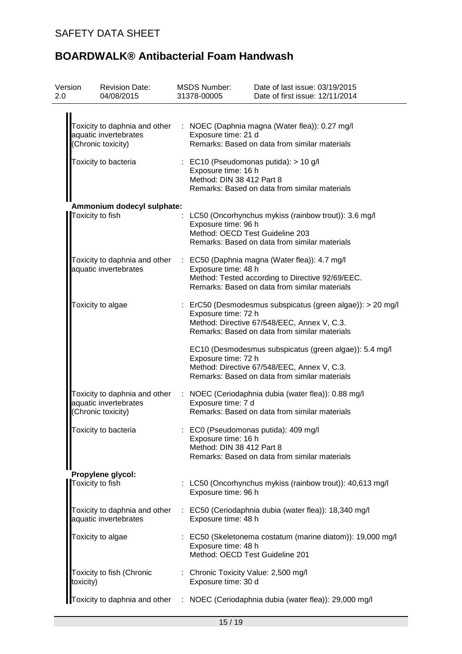| Version<br>2.0 | <b>Revision Date:</b><br>04/08/2015                    | <b>MSDS Number:</b><br>31378-00005               | Date of last issue: 03/19/2015<br>Date of first issue: 12/11/2014                                                                                                                |
|----------------|--------------------------------------------------------|--------------------------------------------------|----------------------------------------------------------------------------------------------------------------------------------------------------------------------------------|
|                | aquatic invertebrates<br>(Chronic toxicity)            | Exposure time: 21 d                              | Toxicity to daphnia and other : NOEC (Daphnia magna (Water flea)): 0.27 mg/l<br>Remarks: Based on data from similar materials                                                    |
|                | Toxicity to bacteria                                   | Exposure time: 16 h<br>Method: DIN 38 412 Part 8 | $\therefore$ EC10 (Pseudomonas putida): > 10 g/l<br>Remarks: Based on data from similar materials                                                                                |
|                | Ammonium dodecyl sulphate:                             |                                                  |                                                                                                                                                                                  |
|                | Toxicity to fish                                       | Exposure time: 96 h                              | LC50 (Oncorhynchus mykiss (rainbow trout)): 3.6 mg/l<br>Method: OECD Test Guideline 203<br>Remarks: Based on data from similar materials                                         |
|                | aquatic invertebrates                                  | Exposure time: 48 h                              | Toxicity to daphnia and other : EC50 (Daphnia magna (Water flea)): 4.7 mg/l<br>Method: Tested according to Directive 92/69/EEC.<br>Remarks: Based on data from similar materials |
|                | Toxicity to algae                                      | Exposure time: 72 h                              | : ErC50 (Desmodesmus subspicatus (green algae)): > 20 mg/l<br>Method: Directive 67/548/EEC, Annex V, C.3.<br>Remarks: Based on data from similar materials                       |
|                |                                                        | Exposure time: 72 h                              | EC10 (Desmodesmus subspicatus (green algae)): 5.4 mg/l<br>Method: Directive 67/548/EEC, Annex V, C.3.<br>Remarks: Based on data from similar materials                           |
|                | aquatic invertebrates<br>(Chronic toxicity)            | Exposure time: 7 d                               | Toxicity to daphnia and other : NOEC (Ceriodaphnia dubia (water flea)): 0.88 mg/l<br>Remarks: Based on data from similar materials                                               |
|                | Toxicity to bacteria                                   | Exposure time: 16 h<br>Method: DIN 38 412 Part 8 | : EC0 (Pseudomonas putida): 409 mg/l<br>Remarks: Based on data from similar materials                                                                                            |
|                | Propylene glycol:<br>Toxicity to fish                  | Exposure time: 96 h                              | LC50 (Oncorhynchus mykiss (rainbow trout)): 40,613 mg/l                                                                                                                          |
|                | Toxicity to daphnia and other<br>aquatic invertebrates | Exposure time: 48 h                              | : EC50 (Ceriodaphnia dubia (water flea)): 18,340 mg/l                                                                                                                            |
|                | Toxicity to algae                                      | Exposure time: 48 h                              | : EC50 (Skeletonema costatum (marine diatom)): 19,000 mg/l<br>Method: OECD Test Guideline 201                                                                                    |
|                | Toxicity to fish (Chronic<br>toxicity)                 | Exposure time: 30 d                              | : Chronic Toxicity Value: 2,500 mg/l                                                                                                                                             |
|                |                                                        |                                                  | Toxicity to daphnia and other : NOEC (Ceriodaphnia dubia (water flea)): 29,000 mg/l                                                                                              |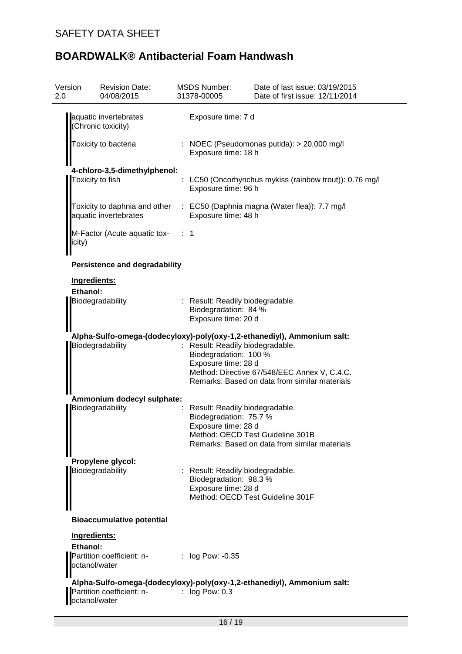| Version<br>2.0 | <b>Revision Date:</b><br>04/08/2015              | <b>MSDS Number:</b><br>31378-00005                                              | Date of last issue: 03/19/2015<br>Date of first issue: 12/11/2014                             |
|----------------|--------------------------------------------------|---------------------------------------------------------------------------------|-----------------------------------------------------------------------------------------------|
|                | aquatic invertebrates<br>(Chronic toxicity)      | Exposure time: 7 d                                                              |                                                                                               |
|                | Toxicity to bacteria                             | Exposure time: 18 h                                                             | : NOEC (Pseudomonas putida): > 20,000 mg/l                                                    |
|                | 4-chloro-3,5-dimethylphenol:<br>Toxicity to fish | Exposure time: 96 h                                                             | LC50 (Oncorhynchus mykiss (rainbow trout)): 0.76 mg/l                                         |
|                | aquatic invertebrates                            | Exposure time: 48 h                                                             | Toxicity to daphnia and other : EC50 (Daphnia magna (Water flea)): 7.7 mg/l                   |
| icity)         | M-Factor (Acute aquatic tox-                     | ∷ 1                                                                             |                                                                                               |
|                | <b>Persistence and degradability</b>             |                                                                                 |                                                                                               |
| Ingredients:   |                                                  |                                                                                 |                                                                                               |
| Ethanol:       | Biodegradability                                 | Result: Readily biodegradable.<br>Biodegradation: 84 %<br>Exposure time: 20 d   |                                                                                               |
|                |                                                  |                                                                                 | Alpha-Sulfo-omega-(dodecyloxy)-poly(oxy-1,2-ethanediyl), Ammonium salt:                       |
|                | Biodegradability                                 | Result: Readily biodegradable.<br>Biodegradation: 100 %<br>Exposure time: 28 d  | Method: Directive 67/548/EEC Annex V, C.4.C.<br>Remarks: Based on data from similar materials |
|                | Ammonium dodecyl sulphate:                       |                                                                                 |                                                                                               |
|                | Biodegradability                                 | Result: Readily biodegradable.<br>Biodegradation: 75.7 %<br>Exposure time: 28 d | Method: OECD Test Guideline 301B<br>Remarks: Based on data from similar materials             |
|                | Propylene glycol:                                |                                                                                 |                                                                                               |
|                | Biodegradability                                 | Result: Readily biodegradable.<br>Biodegradation: 98.3 %<br>Exposure time: 28 d | Method: OECD Test Guideline 301F                                                              |
|                | <b>Bioaccumulative potential</b>                 |                                                                                 |                                                                                               |
| Ingredients:   |                                                  |                                                                                 |                                                                                               |
| Ethanol:       | Partition coefficient: n-<br>octanol/water       | : log Pow: -0.35                                                                |                                                                                               |
|                | Partition coefficient: n-                        | $:$ log Pow: 0.3                                                                | Alpha-Sulfo-omega-(dodecyloxy)-poly(oxy-1,2-ethanediyl), Ammonium salt:                       |
| octanol/water  |                                                  |                                                                                 |                                                                                               |
|                |                                                  | 16/19                                                                           |                                                                                               |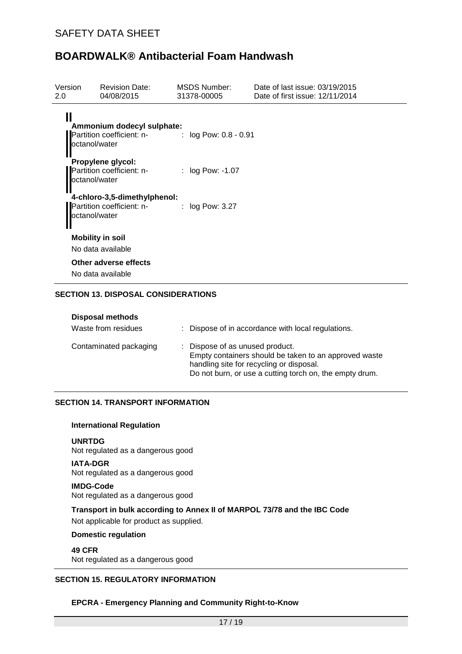| Version<br>2.0     | <b>Revision Date:</b><br>04/08/2015                                           | MSDS Number:<br>31378-00005 | Date of last issue: 03/19/2015<br>Date of first issue: 12/11/2014 |
|--------------------|-------------------------------------------------------------------------------|-----------------------------|-------------------------------------------------------------------|
| Ш<br>octanol/water | Ammonium dodecyl sulphate:<br>Partition coefficient: n- : log Pow: 0.8 - 0.91 |                             |                                                                   |
| octanol/water      | Propylene glycol:<br>Partition coefficient: n-                                | : $log Pow: -1.07$          |                                                                   |
| octanol/water      | 4-chloro-3,5-dimethylphenol:<br>Partition coefficient: n-                     | $:$ log Pow: 3.27           |                                                                   |
|                    | <b>Mobility in soil</b>                                                       |                             |                                                                   |
|                    | No data available                                                             |                             |                                                                   |
|                    | Other adverse effects                                                         |                             |                                                                   |
|                    | No data available                                                             |                             |                                                                   |

### **SECTION 13. DISPOSAL CONSIDERATIONS**

| <b>Disposal methods</b><br>Waste from residues | : Dispose of in accordance with local regulations.                                                                                                                                              |
|------------------------------------------------|-------------------------------------------------------------------------------------------------------------------------------------------------------------------------------------------------|
| Contaminated packaging                         | : Dispose of as unused product.<br>Empty containers should be taken to an approved waste<br>handling site for recycling or disposal.<br>Do not burn, or use a cutting torch on, the empty drum. |

## **SECTION 14. TRANSPORT INFORMATION**

### **International Regulation**

**UNRTDG** Not regulated as a dangerous good

### **IATA-DGR**

Not regulated as a dangerous good

#### **IMDG-Code** Not regulated as a dangerous good

**Transport in bulk according to Annex II of MARPOL 73/78 and the IBC Code** Not applicable for product as supplied.

### **Domestic regulation**

**49 CFR** Not regulated as a dangerous good

### **SECTION 15. REGULATORY INFORMATION**

### **EPCRA - Emergency Planning and Community Right-to-Know**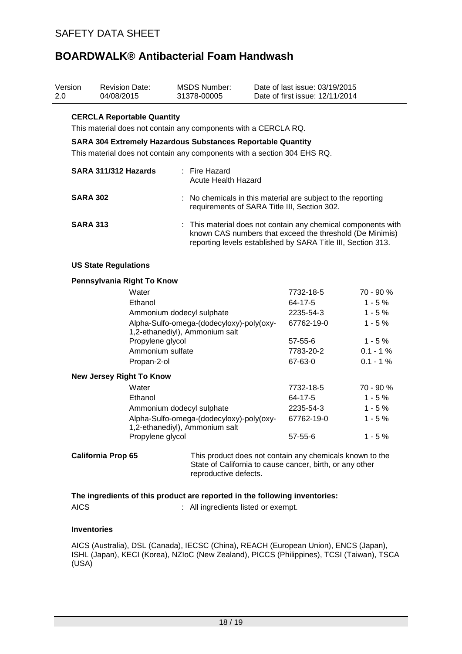| 2.0 | Version         | <b>Revision Date:</b><br>04/08/2015                                                                                                                                                                                                                    | <b>MSDS Number:</b><br>31378-00005                                                                                                                                                        | Date of last issue: 03/19/2015<br>Date of first issue: 12/11/2014 |            |
|-----|-----------------|--------------------------------------------------------------------------------------------------------------------------------------------------------------------------------------------------------------------------------------------------------|-------------------------------------------------------------------------------------------------------------------------------------------------------------------------------------------|-------------------------------------------------------------------|------------|
|     |                 | <b>CERCLA Reportable Quantity</b><br>This material does not contain any components with a CERCLA RQ.<br><b>SARA 304 Extremely Hazardous Substances Reportable Quantity</b><br>This material does not contain any components with a section 304 EHS RQ. |                                                                                                                                                                                           |                                                                   |            |
|     |                 | SARA 311/312 Hazards                                                                                                                                                                                                                                   | : Fire Hazard<br><b>Acute Health Hazard</b>                                                                                                                                               |                                                                   |            |
|     | <b>SARA 302</b> |                                                                                                                                                                                                                                                        | No chemicals in this material are subject to the reporting<br>requirements of SARA Title III, Section 302.                                                                                |                                                                   |            |
|     | <b>SARA 313</b> |                                                                                                                                                                                                                                                        | : This material does not contain any chemical components with<br>known CAS numbers that exceed the threshold (De Minimis)<br>reporting levels established by SARA Title III, Section 313. |                                                                   |            |
|     |                 | <b>US State Regulations</b>                                                                                                                                                                                                                            |                                                                                                                                                                                           |                                                                   |            |
|     |                 | Pennsylvania Right To Know                                                                                                                                                                                                                             |                                                                                                                                                                                           |                                                                   |            |
|     |                 | Water                                                                                                                                                                                                                                                  |                                                                                                                                                                                           | 7732-18-5                                                         | 70 - 90 %  |
|     |                 | Ethanol                                                                                                                                                                                                                                                |                                                                                                                                                                                           | 64-17-5                                                           | $1 - 5%$   |
|     |                 | Ammonium dodecyl sulphate                                                                                                                                                                                                                              |                                                                                                                                                                                           | 2235-54-3                                                         | $1 - 5%$   |
|     |                 |                                                                                                                                                                                                                                                        | Alpha-Sulfo-omega-(dodecyloxy)-poly(oxy-<br>1,2-ethanediyl), Ammonium salt                                                                                                                | 67762-19-0                                                        | $1 - 5%$   |
|     |                 | Propylene glycol                                                                                                                                                                                                                                       |                                                                                                                                                                                           | $57 - 55 - 6$                                                     | $1 - 5%$   |
|     |                 | Ammonium sulfate                                                                                                                                                                                                                                       |                                                                                                                                                                                           | 7783-20-2                                                         | $0.1 - 1%$ |
|     |                 | Propan-2-ol                                                                                                                                                                                                                                            |                                                                                                                                                                                           | 67-63-0                                                           | $0.1 - 1%$ |
|     |                 | <b>New Jersey Right To Know</b>                                                                                                                                                                                                                        |                                                                                                                                                                                           |                                                                   |            |
|     |                 | Water                                                                                                                                                                                                                                                  |                                                                                                                                                                                           | 7732-18-5                                                         | 70 - 90 %  |
|     |                 | Ethanol                                                                                                                                                                                                                                                |                                                                                                                                                                                           | 64-17-5                                                           | $1 - 5%$   |
|     |                 | Ammonium dodecyl sulphate                                                                                                                                                                                                                              |                                                                                                                                                                                           | 2235-54-3                                                         | $1 - 5%$   |
|     |                 |                                                                                                                                                                                                                                                        | Alpha-Sulfo-omega-(dodecyloxy)-poly(oxy-<br>1,2-ethanediyl), Ammonium salt                                                                                                                | 67762-19-0                                                        | $1 - 5%$   |
|     |                 | Propylene glycol                                                                                                                                                                                                                                       |                                                                                                                                                                                           | 57-55-6                                                           | $1 - 5%$   |
|     |                 | <b>California Prop 65</b>                                                                                                                                                                                                                              | This product does not contain any chemicals known to the<br>State of California to cause cancer, birth, or any other<br>reproductive defects.                                             |                                                                   |            |
|     |                 | The ingredients of this product are reported in the following inventories:                                                                                                                                                                             |                                                                                                                                                                                           |                                                                   |            |
|     | <b>AICS</b>     |                                                                                                                                                                                                                                                        | : All ingredients listed or exempt.                                                                                                                                                       |                                                                   |            |

### **Inventories**

AICS (Australia), DSL (Canada), IECSC (China), REACH (European Union), ENCS (Japan), ISHL (Japan), KECI (Korea), NZIoC (New Zealand), PICCS (Philippines), TCSI (Taiwan), TSCA (USA)